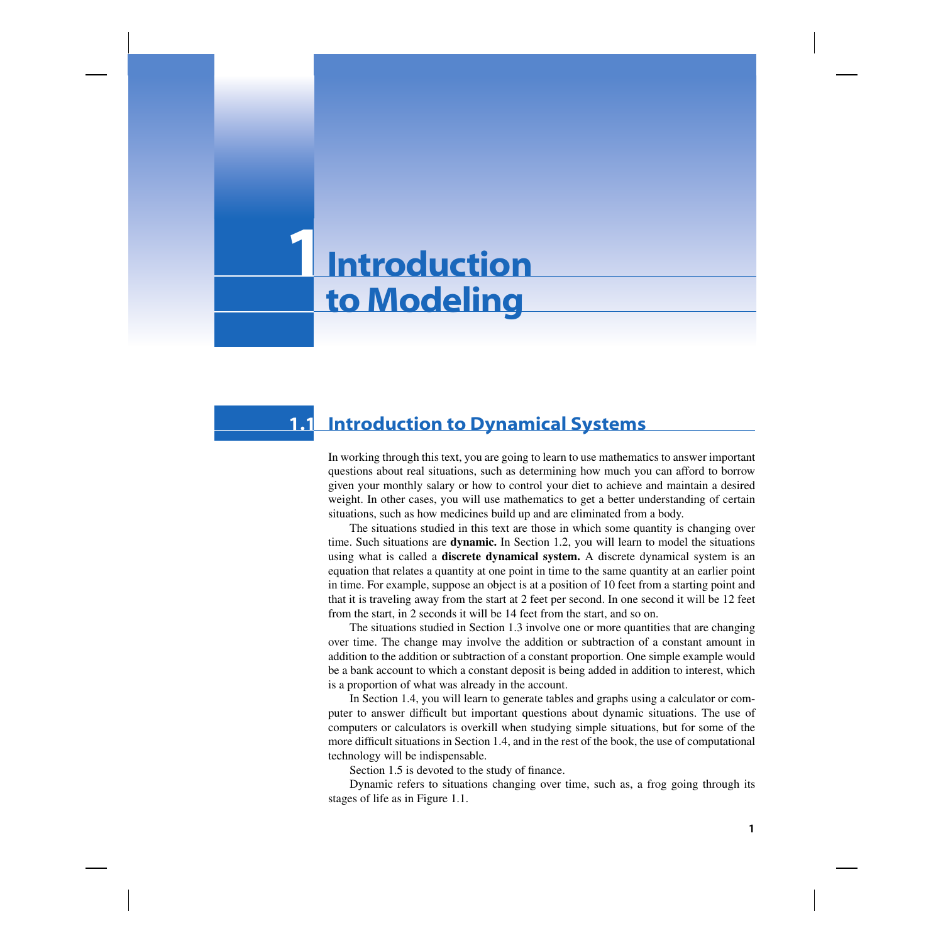# **Introduction to Modeling 1**

## **1.1 Introduction to Dynamical Systems**

In working through this text, you are going to learn to use mathematics to answer important questions about real situations, such as determining how much you can afford to borrow given your monthly salary or how to control your diet to achieve and maintain a desired weight. In other cases, you will use mathematics to get a better understanding of certain situations, such as how medicines build up and are eliminated from a body.

The situations studied in this text are those in which some quantity is changing over time. Such situations are **dynamic.** In Section 1.2, you will learn to model the situations using what is called a **discrete dynamical system.** A discrete dynamical system is an equation that relates a quantity at one point in time to the same quantity at an earlier point in time. For example, suppose an object is at a position of 10 feet from a starting point and that it is traveling away from the start at 2 feet per second. In one second it will be 12 feet from the start, in 2 seconds it will be 14 feet from the start, and so on.

The situations studied in Section 1.3 involve one or more quantities that are changing over time. The change may involve the addition or subtraction of a constant amount in addition to the addition or subtraction of a constant proportion. One simple example would be a bank account to which a constant deposit is being added in addition to interest, which is a proportion of what was already in the account.

In Section 1.4, you will learn to generate tables and graphs using a calculator or computer to answer difficult but important questions about dynamic situations. The use of computers or calculators is overkill when studying simple situations, but for some of the more difficult situations in Section 1.4, and in the rest of the book, the use of computational technology will be indispensable.

Section 1.5 is devoted to the study of finance.

Dynamic refers to situations changing over time, such as, a frog going through its stages of life as in Figure 1.1.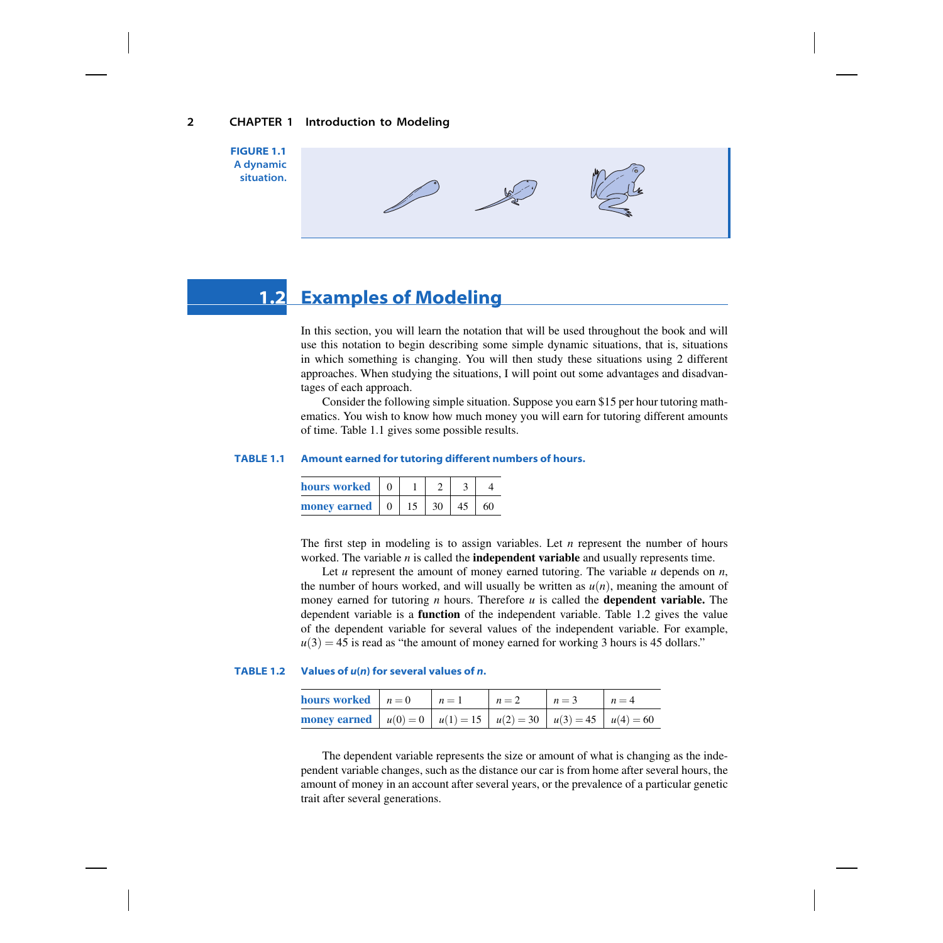

## **1.2 Examples of Modeling**

In this section, you will learn the notation that will be used throughout the book and will use this notation to begin describing some simple dynamic situations, that is, situations in which something is changing. You will then study these situations using 2 different approaches. When studying the situations, I will point out some advantages and disadvantages of each approach.

Consider the following simple situation. Suppose you earn \$15 per hour tutoring mathematics. You wish to know how much money you will earn for tutoring different amounts of time. Table 1.1 gives some possible results.

#### **TABLE 1.1 Amount earned for tutoring different numbers of hours.**

| hours worked |  |    |    |    |
|--------------|--|----|----|----|
| money earned |  | 30 | 45 | 60 |

The first step in modeling is to assign variables. Let *n* represent the number of hours worked. The variable *n* is called the **independent variable** and usually represents time.

Let *u* represent the amount of money earned tutoring. The variable *u* depends on *n*, the number of hours worked, and will usually be written as  $u(n)$ , meaning the amount of money earned for tutoring *n* hours. Therefore *u* is called the **dependent variable.** The dependent variable is a **function** of the independent variable. Table 1.2 gives the value of the dependent variable for several values of the independent variable. For example,  $u(3) = 45$  is read as "the amount of money earned for working 3 hours is 45 dollars."

### **TABLE 1.2 Values of** *u***(***n***) for several values of** *n***.**

| <b>hours</b> worked $n = 0$                                                    | $n=1$ | $n=2$ | $n=3$ | $n=4$ |
|--------------------------------------------------------------------------------|-------|-------|-------|-------|
| <b>money earned</b> $u(0) = 0$ $u(1) = 15$ $u(2) = 30$ $u(3) = 45$ $u(4) = 60$ |       |       |       |       |

The dependent variable represents the size or amount of what is changing as the independent variable changes, such as the distance our car is from home after several hours, the amount of money in an account after several years, or the prevalence of a particular genetic trait after several generations.